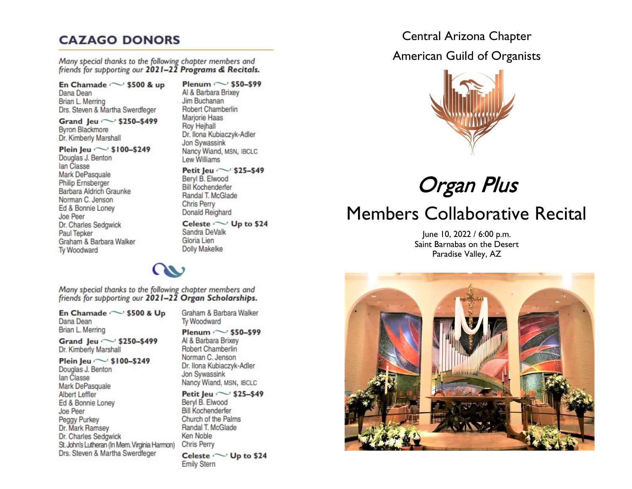# **CAZAGO DONORS**

Many special thanks to the following chapter members and friends for supporting our 2021-22 Programs & Recitals.

En Chamade  $\sim$  \$500 & up Dana Dean Brian L. Merring Drs. Steven & Martha Swerdfeger

Grand Jeu ~ \$250-\$499 **Byron Blackmore** Dr. Kimberly Marshall

## Plein Jeu  $\sim$  \$100-\$249

Douglas J. Benton lan Classe Mark DePasquale **Philip Ernsberger Barbara Aldrich Graunke** Norman C. Jenson Ed & Bonnie Loney Joe Peer Dr. Charles Sedgwick **Paul Tepker** Graham & Barbara Walker **Tv Woodward** 

Plenum  $\sim$  \$50-\$99 Al & Barbara Brixev Jim Buchanan **Robert Chamberlin Mariorie Haas Roy Heihall** Dr. Ilona Kubiaczyk-Adler **Jon Sywassink** Nancy Wiand, MSN, IBCLC **Lew Williams** 

Petit Jeu  $\sim$  \$25-\$49 Bervl B. Elwood **Bill Kochenderfer** Randal T. McGlade **Chris Perry Donald Reighard** 

### Celeste  $\sim$  Up to \$24 Sandra DeValk Gloria Lien **Dolly Makelke**

Many special thanks to the following chapter members and friends for supporting our 2021-22 Organ Scholarships.

En Chamade  $\sim$  \$500 & Up Dana Dean Brian L. Merring

Grand Jeu  $\sim$  \$250-\$499 Dr. Kimberly Marshall

Plein leu  $\sim$  \$100-\$249

Douglas J. Benton lan Classe Mark DePasquale **Albert Leffler** Ed & Bonnie Loney Joe Peer Peggy Purkey Dr. Mark Ramsey Dr. Charles Sedgwick St. John's Lutheran (In Mem. Virginia Harmon) Drs. Steven & Martha Swerdfeger

Graham & Barbara Walker **Tv Woodward** Plenum  $\sim$  \$50-\$99

Al & Barbara Brixev **Robert Chamberlin** Norman C. Jenson Dr. Ilona Kubiaczyk-Adler **Jon Sywassink** Nancy Wiand, MSN, IBCLC

Petit Jeu  $\sim$  \$25-\$49 Bervl B. Elwood **Bill Kochenderfer** Church of the Palms Randal T. McGlade **Ken Noble Chris Perry** Celeste  $\sim$  Up to \$24 **Emily Stern** 

# Central Arizona Chapter

**American Guild of Organists** 



Organ Plus

# **Members Collaborative Recital**

June 10, 2022 / 6:00 p.m. Saint Barnabas on the Desert Paradise Valley, AZ